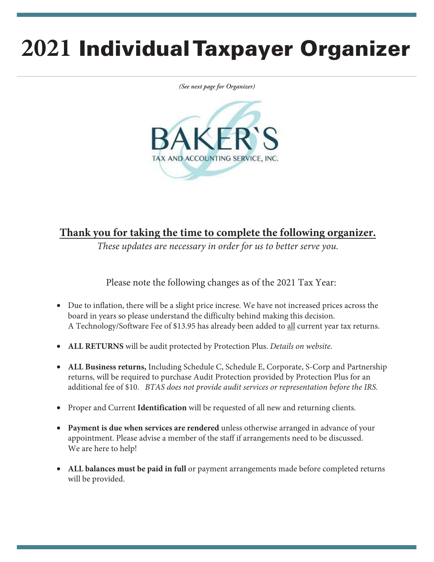# **2021** Individual Taxpayer Organizer

*(See next page for Organizer)*



#### **Thank you for taking the time to complete the following organizer.**

*These updates are necessary in order for us to better serve you.*

Please note the following changes as of the 2021 Tax Year:

- Due to inflation, there will be a slight price increse. We have not increased prices across the board in years so please understand the difficulty behind making this decision. A Technology/Software Fee of \$13.95 has already been added to all current year tax returns.
- **ALL RETURNS** will be audit protected by Protection Plus. *Details on website*.
- **ALL Business returns,** Including Schedule C, Schedule E, Corporate, S-Corp and Partnership returns, will be required to purchase Audit Protection provided by Protection Plus for an additional fee of \$10. *BTAS does not provide audit services or representation before the IRS.*
- Proper and Current **Identification** will be requested of all new and returning clients.
- **Payment is due when services are rendered** unless otherwise arranged in advance of your appointment. Please advise a member of the staff if arrangements need to be discussed. We are here to help!
- **ALL balances must be paid in full** or payment arrangements made before completed returns will be provided.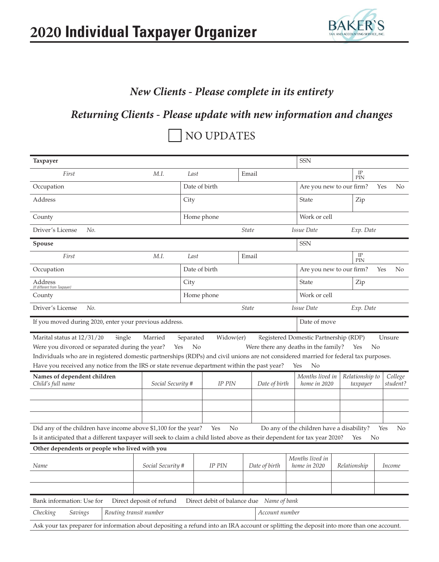

## *New Clients - Please complete in its entirety*

## *Returning Clients - Please update with new information and changes*

## NO UPDATES

| Taxpayer                                                                                                                                                                                                                                                                                                                              |                          |           |                                          |              |                | <b>SSN</b>                                                                                 |                             |        |                     |
|---------------------------------------------------------------------------------------------------------------------------------------------------------------------------------------------------------------------------------------------------------------------------------------------------------------------------------------|--------------------------|-----------|------------------------------------------|--------------|----------------|--------------------------------------------------------------------------------------------|-----------------------------|--------|---------------------|
| First                                                                                                                                                                                                                                                                                                                                 | M.I.                     | Last      |                                          | Email        |                |                                                                                            | IP<br>PIN                   |        |                     |
| Occupation                                                                                                                                                                                                                                                                                                                            |                          |           | Date of birth                            |              |                |                                                                                            | Are you new to our firm?    | Yes    | N <sub>o</sub>      |
| Address                                                                                                                                                                                                                                                                                                                               |                          | City      |                                          |              |                | State                                                                                      | Zip                         |        |                     |
| County                                                                                                                                                                                                                                                                                                                                |                          |           | Home phone                               |              |                | Work or cell                                                                               |                             |        |                     |
| Driver's License<br>No.                                                                                                                                                                                                                                                                                                               |                          |           |                                          | <b>State</b> |                | Issue Date                                                                                 | Exp. Date                   |        |                     |
| Spouse                                                                                                                                                                                                                                                                                                                                |                          |           |                                          |              |                | <b>SSN</b>                                                                                 |                             |        |                     |
| First                                                                                                                                                                                                                                                                                                                                 | M.I.                     | Last      |                                          | Email        |                |                                                                                            | $_{\rm IP}$<br>PIN          |        |                     |
| Occupation                                                                                                                                                                                                                                                                                                                            |                          |           | Date of birth                            |              |                |                                                                                            | Are you new to our firm?    | Yes    | N <sub>o</sub>      |
| Address<br>(If different from Taxpayer)                                                                                                                                                                                                                                                                                               |                          | City      |                                          |              |                | State                                                                                      | Zip                         |        |                     |
| County                                                                                                                                                                                                                                                                                                                                |                          |           | Home phone                               |              |                | Work or cell                                                                               |                             |        |                     |
| Driver's License<br>No.                                                                                                                                                                                                                                                                                                               |                          |           |                                          | <b>State</b> |                | Issue Date                                                                                 | Exp. Date                   |        |                     |
| If you moved during 2020, enter your previous address.<br>Date of move                                                                                                                                                                                                                                                                |                          |           |                                          |              |                |                                                                                            |                             |        |                     |
| Marital status at 12/31/20<br><b>Single</b><br>Were you divorced or separated during the year?<br>Individuals who are in registered domestic partnerships (RDPs) and civil unions are not considered married for federal tax purposes.<br>Have you received any notice from the IRS or state revenue department within the past year? | Married<br>Yes           | Separated | Widow(er)<br>No                          |              |                | Registered Domestic Partnership (RDP)<br>Were there any deaths in the family?<br>Yes<br>No | Yes<br>No                   | Unsure |                     |
|                                                                                                                                                                                                                                                                                                                                       |                          |           |                                          |              |                |                                                                                            |                             |        |                     |
| Names of dependent children<br>Child's full name                                                                                                                                                                                                                                                                                      | Social Security #        |           | <b>IP PIN</b>                            |              | Date of birth  | Months lived in<br>home in 2020                                                            | Relationship to<br>taxpayer |        | College<br>student? |
|                                                                                                                                                                                                                                                                                                                                       |                          |           |                                          |              |                |                                                                                            |                             |        |                     |
|                                                                                                                                                                                                                                                                                                                                       |                          |           |                                          |              |                |                                                                                            |                             |        |                     |
| N <sub>o</sub><br>Did any of the children have income above \$1,100 for the year?<br>Yes<br>Do any of the children have a disability?<br>Yes<br>No<br>Is it anticipated that a different taxpayer will seek to claim a child listed above as their dependent for tax year 2020?<br>No<br>Yes                                          |                          |           |                                          |              |                |                                                                                            |                             |        |                     |
| Other dependents or people who lived with you                                                                                                                                                                                                                                                                                         |                          |           |                                          |              |                |                                                                                            |                             |        |                     |
| Name                                                                                                                                                                                                                                                                                                                                  | Social Security #        |           | <b>IP PIN</b>                            |              | Date of birth  | Months lived in<br>home in 2020                                                            | Relationship                |        | Income              |
|                                                                                                                                                                                                                                                                                                                                       |                          |           |                                          |              |                |                                                                                            |                             |        |                     |
|                                                                                                                                                                                                                                                                                                                                       |                          |           |                                          |              |                |                                                                                            |                             |        |                     |
| Bank information: Use for                                                                                                                                                                                                                                                                                                             | Direct deposit of refund |           | Direct debit of balance due Name of bank |              |                |                                                                                            |                             |        |                     |
| Checking<br>Routing transit number<br>Savings                                                                                                                                                                                                                                                                                         |                          |           |                                          |              | Account number |                                                                                            |                             |        |                     |
| Ask your tax preparer for information about depositing a refund into an IRA account or splitting the deposit into more than one account.                                                                                                                                                                                              |                          |           |                                          |              |                |                                                                                            |                             |        |                     |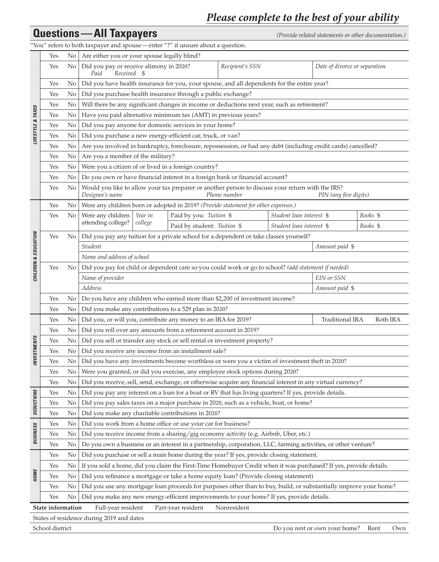## *Please complete to the best of your ability*

|                      | <b>Questions - All Taxpayers</b><br>(Provide related statements or other documentation.) |                |                                                                                                                                                                                                            |                             |              |                          |                               |          |     |
|----------------------|------------------------------------------------------------------------------------------|----------------|------------------------------------------------------------------------------------------------------------------------------------------------------------------------------------------------------------|-----------------------------|--------------|--------------------------|-------------------------------|----------|-----|
|                      | "You" refers to both taxpayer and spouse—enter "?" if unsure about a question.           |                |                                                                                                                                                                                                            |                             |              |                          |                               |          |     |
|                      | Yes                                                                                      | No             | Are either you or your spouse legally blind?                                                                                                                                                               |                             |              |                          |                               |          |     |
|                      | Yes                                                                                      | No             | Did you pay or receive alimony in 2020?<br>Recipient's SSN<br>Date of divorce or separation<br>Paid<br>Received \$                                                                                         |                             |              |                          |                               |          |     |
|                      | Yes                                                                                      | No.            | Did you have health insurance for you, your spouse, and all dependents for the entire year?                                                                                                                |                             |              |                          |                               |          |     |
|                      | Yes                                                                                      | No             | Did you purchase health insurance through a public exchange?                                                                                                                                               |                             |              |                          |                               |          |     |
|                      | Yes                                                                                      | No             | Will there be any significant changes in income or deductions next year, such as retirement?                                                                                                               |                             |              |                          |                               |          |     |
|                      | Yes                                                                                      | No             | Have you paid alternative minimum tax (AMT) in previous years?                                                                                                                                             |                             |              |                          |                               |          |     |
|                      | Yes                                                                                      | No             | Did you pay anyone for domestic services in your home?                                                                                                                                                     |                             |              |                          |                               |          |     |
| LIFESTYLE & TAXES    | Yes                                                                                      | No             | Did you purchase a new energy-efficient car, truck, or van?                                                                                                                                                |                             |              |                          |                               |          |     |
|                      | Yes                                                                                      | No             | Are you involved in bankruptcy, foreclosure, repossession, or had any debt (including credit cards) cancelled?                                                                                             |                             |              |                          |                               |          |     |
|                      | Yes                                                                                      | No             | Are you a member of the military?                                                                                                                                                                          |                             |              |                          |                               |          |     |
|                      | Yes                                                                                      | No             | Were you a citizen of or lived in a foreign country?                                                                                                                                                       |                             |              |                          |                               |          |     |
|                      | Yes                                                                                      | No             | Do you own or have financial interest in a foreign bank or financial account?                                                                                                                              |                             |              |                          |                               |          |     |
|                      | Yes                                                                                      | No             | Would you like to allow your tax preparer or another person to discuss your return with the IRS?<br>Designee's name                                                                                        |                             | Phone number |                          | PIN (any five digits)         |          |     |
|                      | Yes                                                                                      | No             | Were any children born or adopted in 2019? (Provide statement for other expenses.)                                                                                                                         |                             |              |                          |                               |          |     |
|                      | Yes                                                                                      | No             | Were any children<br>Year in                                                                                                                                                                               | Paid by you: Tuition \$     |              | Student loan interest \$ |                               | Books \$ |     |
|                      |                                                                                          |                | attending college?<br>college                                                                                                                                                                              | Paid by student: Tuition \$ |              | Student loan interest \$ |                               | Books \$ |     |
|                      | Yes                                                                                      | No.            | Did you pay any tuition for a private school for a dependent or take classes yourself?                                                                                                                     |                             |              |                          |                               |          |     |
|                      |                                                                                          |                | Student                                                                                                                                                                                                    |                             |              |                          | Amount paid \$                |          |     |
| CHILDREN & EDUCATION |                                                                                          |                | Name and address of school                                                                                                                                                                                 |                             |              |                          |                               |          |     |
|                      | Yes                                                                                      | No             | Did you pay for child or dependent care so you could work or go to school? (add statement if needed)                                                                                                       |                             |              |                          |                               |          |     |
|                      |                                                                                          |                | Name of provider                                                                                                                                                                                           |                             |              |                          | EIN or SSN                    |          |     |
|                      |                                                                                          |                | Address                                                                                                                                                                                                    |                             |              |                          | Amount paid \$                |          |     |
|                      | Yes                                                                                      | No             | Do you have any children who earned more than \$2,200 of investment income?                                                                                                                                |                             |              |                          |                               |          |     |
|                      | Yes                                                                                      | No             | Did you make any contributions to a 529 plan in 2020?                                                                                                                                                      |                             |              |                          |                               |          |     |
|                      | Yes                                                                                      | No             | Did you, or will you, contribute any money to an IRA for 2019?                                                                                                                                             |                             |              |                          | <b>Traditional IRA</b>        | Roth IRA |     |
|                      | Yes                                                                                      | No             | Did you roll over any amounts from a retirement account in 2019?                                                                                                                                           |                             |              |                          |                               |          |     |
|                      | Yes                                                                                      | No             | Did you sell or transfer any stock or sell rental or investment property?                                                                                                                                  |                             |              |                          |                               |          |     |
|                      | Yes                                                                                      | N0             | Did you receive any income from an installment sale?                                                                                                                                                       |                             |              |                          |                               |          |     |
| <b>INVESTMENTS</b>   | Yes                                                                                      | No             | Did you have any investments become worthless or were you a victim of investment theft in 2020?                                                                                                            |                             |              |                          |                               |          |     |
|                      | Yes                                                                                      | N <sub>0</sub> | Were you granted, or did you exercise, any employee stock options during 2020?                                                                                                                             |                             |              |                          |                               |          |     |
|                      | Yes                                                                                      | N <sub>0</sub> | Did you receive, sell, send, exchange, or otherwise acquire any financial interest in any virtual currency?                                                                                                |                             |              |                          |                               |          |     |
|                      | Yes                                                                                      | No             | Did you pay any interest on a loan for a boat or RV that has living quarters? If yes, provide details.                                                                                                     |                             |              |                          |                               |          |     |
| DEDUCTIONS           | Yes                                                                                      | No             | Did you pay sales taxes on a major purchase in 2020, such as a vehicle, boat, or home?                                                                                                                     |                             |              |                          |                               |          |     |
|                      | Yes                                                                                      | No             | Did you make any charitable contributions in 2020?                                                                                                                                                         |                             |              |                          |                               |          |     |
|                      |                                                                                          | N <sub>0</sub> | Did you work from a home office or use your car for business?                                                                                                                                              |                             |              |                          |                               |          |     |
| <b>BUSINESS</b>      | Yes                                                                                      | No             | Did you receive income from a sharing/gig economy activity (e.g. Airbnb, Uber, etc.)                                                                                                                       |                             |              |                          |                               |          |     |
|                      | Yes                                                                                      |                |                                                                                                                                                                                                            |                             |              |                          |                               |          |     |
|                      | Yes<br>Yes                                                                               | No<br>No       | Do you own a business or an interest in a partnership, corporation, LLC, farming activities, or other venture?<br>Did you purchase or sell a main home during the year? If yes, provide closing statement. |                             |              |                          |                               |          |     |
|                      |                                                                                          |                |                                                                                                                                                                                                            |                             |              |                          |                               |          |     |
| <b>HOME</b>          | Yes                                                                                      | N <sub>0</sub> | If you sold a home, did you claim the First-Time Homebuyer Credit when it was purchased? If yes, provide details.                                                                                          |                             |              |                          |                               |          |     |
|                      | Yes                                                                                      | No.            | Did you refinance a mortgage or take a home equity loan? (Provide closing statement)                                                                                                                       |                             |              |                          |                               |          |     |
|                      | Yes                                                                                      | No             | Did you use any mortgage loan proceeds for purposes other than to buy, build, or substantially improve your home?                                                                                          |                             |              |                          |                               |          |     |
|                      | Yes                                                                                      | No             | Did you make any new energy-efficient improvements to your home? If yes, provide details.                                                                                                                  |                             |              |                          |                               |          |     |
|                      | State information                                                                        |                | Full-year resident                                                                                                                                                                                         | Part-year resident          | Nonresident  |                          |                               |          |     |
|                      |                                                                                          |                | States of residence during 2019 and dates                                                                                                                                                                  |                             |              |                          |                               |          |     |
|                      | School district                                                                          |                |                                                                                                                                                                                                            |                             |              |                          | Do you rent or own your home? | Rent     | Own |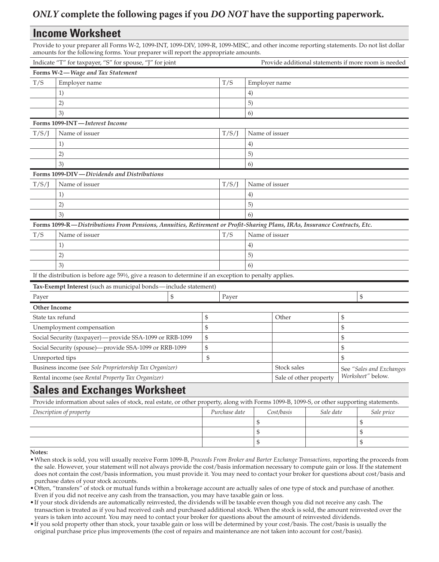#### *ONLY* **complete the following pages if you** *DO NOT* **have the supporting paperwork.**

#### **Income Worksheet**

Provide to your preparer all Forms W-2, 1099-INT, 1099-DIV, 1099-R, 1099-MISC, and other income reporting statements. Do not list dollar amounts for the following forms. Your preparer will report the appropriate amounts.

|                                                         | Indicate "T" for taxpayer, "S" for spouse, "J" for joint                                                                                   |    |    |               |                        |                |           |                          | Provide additional statements if more room is needed |
|---------------------------------------------------------|--------------------------------------------------------------------------------------------------------------------------------------------|----|----|---------------|------------------------|----------------|-----------|--------------------------|------------------------------------------------------|
|                                                         | Forms W-2-Wage and Tax Statement                                                                                                           |    |    |               |                        |                |           |                          |                                                      |
| T/S                                                     | Employer name                                                                                                                              |    |    | T/S           |                        | Employer name  |           |                          |                                                      |
|                                                         | 1)                                                                                                                                         |    |    |               | 4)                     |                |           |                          |                                                      |
|                                                         | 2)                                                                                                                                         |    |    |               | 5)                     |                |           |                          |                                                      |
|                                                         | 3)                                                                                                                                         |    |    |               | 6)                     |                |           |                          |                                                      |
|                                                         | Forms 1099-INT-Interest Income                                                                                                             |    |    |               |                        |                |           |                          |                                                      |
| T/S/J                                                   | Name of issuer                                                                                                                             |    |    | T/S/J         | Name of issuer         |                |           |                          |                                                      |
|                                                         | 1)                                                                                                                                         |    |    |               | 4)                     |                |           |                          |                                                      |
|                                                         | 2)                                                                                                                                         |    |    |               | 5)                     |                |           |                          |                                                      |
|                                                         | 3)                                                                                                                                         |    |    |               | 6)                     |                |           |                          |                                                      |
|                                                         | Forms 1099-DIV—Dividends and Distributions                                                                                                 |    |    |               |                        |                |           |                          |                                                      |
| T/S/J                                                   | Name of issuer                                                                                                                             |    |    | T/S/J         |                        | Name of issuer |           |                          |                                                      |
|                                                         | 1)                                                                                                                                         |    |    |               | 4)                     |                |           |                          |                                                      |
|                                                         | 2)                                                                                                                                         |    |    |               | 5)                     |                |           |                          |                                                      |
|                                                         | 3)                                                                                                                                         |    |    |               | 6)                     |                |           |                          |                                                      |
|                                                         | Forms 1099-R-Distributions From Pensions, Annuities, Retirement or Profit-Sharing Plans, IRAs, Insurance Contracts, Etc.                   |    |    |               |                        |                |           |                          |                                                      |
| T/S                                                     | Name of issuer                                                                                                                             |    |    | T/S           |                        | Name of issuer |           |                          |                                                      |
|                                                         | 1)                                                                                                                                         |    |    |               | 4)                     |                |           |                          |                                                      |
|                                                         | 2)                                                                                                                                         |    |    |               | 5)                     |                |           |                          |                                                      |
|                                                         | 3)                                                                                                                                         |    |    |               | 6)                     |                |           |                          |                                                      |
|                                                         | If the distribution is before age 591/2, give a reason to determine if an exception to penalty applies.                                    |    |    |               |                        |                |           |                          |                                                      |
|                                                         | Tax-Exempt Interest (such as municipal bonds-include statement)                                                                            |    |    |               |                        |                |           |                          |                                                      |
| Payer                                                   |                                                                                                                                            | \$ |    | Payer         |                        |                |           |                          | \$                                                   |
| <b>Other Income</b>                                     |                                                                                                                                            |    |    |               |                        |                |           |                          |                                                      |
| State tax refund                                        |                                                                                                                                            |    | \$ |               |                        | Other          |           | \$                       |                                                      |
|                                                         | Unemployment compensation                                                                                                                  |    | \$ |               |                        |                |           | \$                       |                                                      |
|                                                         | Social Security (taxpayer) - provide SSA-1099 or RRB-1099                                                                                  |    | \$ |               |                        |                |           | \$                       |                                                      |
| Social Security (spouse)-provide SSA-1099 or RRB-1099   |                                                                                                                                            | \$ |    |               |                        |                | \$        |                          |                                                      |
| Unreported tips                                         |                                                                                                                                            | \$ |    |               |                        |                | \$        |                          |                                                      |
| Business income (see Sole Proprietorship Tax Organizer) |                                                                                                                                            |    |    |               |                        | Stock sales    |           | See "Sales and Exchanges |                                                      |
| Rental income (see Rental Property Tax Organizer)       |                                                                                                                                            |    |    |               | Sale of other property |                |           | Worksheet" below.        |                                                      |
|                                                         | <b>Sales and Exchanges Worksheet</b>                                                                                                       |    |    |               |                        |                |           |                          |                                                      |
|                                                         | Provide information about sales of stock, real estate, or other property, along with Forms 1099-B, 1099-S, or other supporting statements. |    |    |               |                        |                |           |                          |                                                      |
|                                                         | Description of property                                                                                                                    |    |    | Purchase date |                        | Cost/basis     | Sale date |                          | Sale price                                           |

 $\sim$  \$  $\sim$  \$  $\updownarrow$   $\updownarrow$   $\updownarrow$   $\updownarrow$   $\updownarrow$ 

#### **Notes:**

•When stock is sold, you will usually receive Form 1099-B, *Proceeds From Broker and Barter Exchange Transactions,* reporting the proceeds from the sale. However, your statement will not always provide the cost/basis information necessary to compute gain or loss. If the statement does not contain the cost/basis information, you must provide it. You may need to contact your broker for questions about cost/basis and purchase dates of your stock accounts.

•Often, "transfers" of stock or mutual funds within a brokerage account are actually sales of one type of stock and purchase of another. Even if you did not receive any cash from the transaction, you may have taxable gain or loss.

•If your stock dividends are automatically reinvested, the dividends will be taxable even though you did not receive any cash. The transaction is treated as if you had received cash and purchased additional stock. When the stock is sold, the amount reinvested over the years is taken into account. You may need to contact your broker for questions about the amount of reinvested dividends.

•If you sold property other than stock, your taxable gain or loss will be determined by your cost/basis. The cost/basis is usually the original purchase price plus improvements (the cost of repairs and maintenance are not taken into account for cost/basis).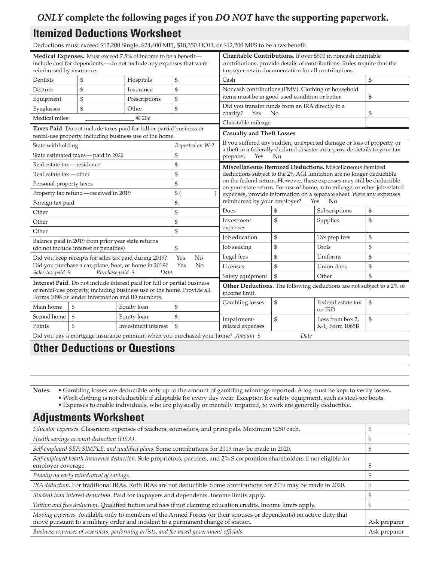#### *ONLY* **complete the following pages if you** *DO NOT* **have the supporting paperwork.**

#### **Itemized Deductions Worksheet**

Deductions must exceed \$12,200 Single, \$24,400 MFJ, \$18,350 HOH, or \$12,200 MFS to be a tax benefit.

| Medical Expenses. Must exceed 7.5% of income to be a benefit-<br>include cost for dependents-do not include any expenses that were<br>reimbursed by insurance.                                          |                                        |                                                                                        | Charitable Contributions. If over \$500 in noncash charitable<br>contributions, provide details of contributions. Rules require that the<br>taxpayer retain documentation for all contributions. |                                                                                                                                                                                                            |                                                                                                                                                                                                             |                                                                            |              |  |  |
|---------------------------------------------------------------------------------------------------------------------------------------------------------------------------------------------------------|----------------------------------------|----------------------------------------------------------------------------------------|--------------------------------------------------------------------------------------------------------------------------------------------------------------------------------------------------|------------------------------------------------------------------------------------------------------------------------------------------------------------------------------------------------------------|-------------------------------------------------------------------------------------------------------------------------------------------------------------------------------------------------------------|----------------------------------------------------------------------------|--------------|--|--|
| Dentists                                                                                                                                                                                                | \$                                     | Hospitals                                                                              | \$                                                                                                                                                                                               | Cash                                                                                                                                                                                                       |                                                                                                                                                                                                             |                                                                            |              |  |  |
| Doctors                                                                                                                                                                                                 | \$                                     | Insurance                                                                              | $\$\,$                                                                                                                                                                                           | Noncash contributions (FMV). Clothing or household                                                                                                                                                         |                                                                                                                                                                                                             |                                                                            |              |  |  |
| Equipment                                                                                                                                                                                               | \$                                     | Prescriptions                                                                          | \$                                                                                                                                                                                               | items must be in good used condition or better.                                                                                                                                                            |                                                                                                                                                                                                             | \$                                                                         |              |  |  |
| Eyeglasses                                                                                                                                                                                              | \$                                     | Other                                                                                  | \$                                                                                                                                                                                               | Yes                                                                                                                                                                                                        | Did you transfer funds from an IRA directly to a<br>$\rm No$                                                                                                                                                |                                                                            |              |  |  |
| Medical miles:                                                                                                                                                                                          |                                        | @20¢                                                                                   |                                                                                                                                                                                                  | charity?<br>Charitable mileage                                                                                                                                                                             | \$                                                                                                                                                                                                          |                                                                            |              |  |  |
|                                                                                                                                                                                                         |                                        | Taxes Paid. Do not include taxes paid for full or partial business or                  |                                                                                                                                                                                                  | <b>Casualty and Theft Losses</b>                                                                                                                                                                           |                                                                                                                                                                                                             |                                                                            |              |  |  |
|                                                                                                                                                                                                         |                                        | rental-use property, including business use of the home.                               |                                                                                                                                                                                                  |                                                                                                                                                                                                            |                                                                                                                                                                                                             | If you suffered any sudden, unexpected damage or loss of property, or      |              |  |  |
| State withholding                                                                                                                                                                                       |                                        |                                                                                        | Reported on W-2<br>\$                                                                                                                                                                            |                                                                                                                                                                                                            |                                                                                                                                                                                                             | a theft in a federally-declared disaster area, provide details to your tax |              |  |  |
|                                                                                                                                                                                                         | State estimated taxes - paid in 2020   |                                                                                        |                                                                                                                                                                                                  | Yes<br>preparer.                                                                                                                                                                                           | No                                                                                                                                                                                                          |                                                                            |              |  |  |
| Real estate tax - residence<br>Real estate tax — other                                                                                                                                                  |                                        |                                                                                        | \$<br>\$                                                                                                                                                                                         |                                                                                                                                                                                                            | Miscellaneous Itemized Deductions. Miscellaneous itemized<br>deductions subject to the 2% AGI limitation are no longer deductible<br>on the federal return. However, these expenses may still be deductible |                                                                            |              |  |  |
|                                                                                                                                                                                                         |                                        |                                                                                        |                                                                                                                                                                                                  |                                                                                                                                                                                                            |                                                                                                                                                                                                             |                                                                            |              |  |  |
| Personal property taxes                                                                                                                                                                                 |                                        |                                                                                        | \$<br>$$^{(})$                                                                                                                                                                                   | on your state return. For use of home, auto mileage, or other job-related<br>expenses, provide information on a separate sheet. Were any expenses<br>reimbursed by your employer?<br>N <sub>o</sub><br>Yes |                                                                                                                                                                                                             |                                                                            |              |  |  |
| Property tax refund - received in 2019                                                                                                                                                                  |                                        | \$                                                                                     |                                                                                                                                                                                                  |                                                                                                                                                                                                            |                                                                                                                                                                                                             |                                                                            |              |  |  |
| Foreign tax paid<br>Other                                                                                                                                                                               |                                        |                                                                                        | \$                                                                                                                                                                                               | Dues                                                                                                                                                                                                       | \$                                                                                                                                                                                                          | Subscriptions                                                              | \$           |  |  |
| Other                                                                                                                                                                                                   |                                        |                                                                                        | Investment                                                                                                                                                                                       | \$                                                                                                                                                                                                         | Supplies                                                                                                                                                                                                    | \$                                                                         |              |  |  |
|                                                                                                                                                                                                         |                                        |                                                                                        | \$<br>\$                                                                                                                                                                                         | expenses                                                                                                                                                                                                   |                                                                                                                                                                                                             |                                                                            |              |  |  |
| Other<br>Balance paid in 2019 from prior year state returns                                                                                                                                             |                                        |                                                                                        | <b>Job</b> education                                                                                                                                                                             | \$                                                                                                                                                                                                         | Tax prep fees                                                                                                                                                                                               | \$                                                                         |              |  |  |
|                                                                                                                                                                                                         | (do not include interest or penalties) |                                                                                        | \$                                                                                                                                                                                               | Job seeking                                                                                                                                                                                                | \$                                                                                                                                                                                                          | Tools                                                                      | \$           |  |  |
|                                                                                                                                                                                                         |                                        | Did you keep receipts for sales tax paid during 2019?                                  | N <sub>o</sub><br>Yes                                                                                                                                                                            | Legal fees                                                                                                                                                                                                 | \$                                                                                                                                                                                                          | Uniforms                                                                   | \$           |  |  |
|                                                                                                                                                                                                         |                                        | Did you purchase a car, plane, boat, or home in 2019?                                  | No<br>Yes                                                                                                                                                                                        | Licenses                                                                                                                                                                                                   | \$                                                                                                                                                                                                          | Union dues                                                                 | \$           |  |  |
| Sales tax paid \$                                                                                                                                                                                       | Purchase paid \$                       | Date                                                                                   |                                                                                                                                                                                                  | Safety equipment                                                                                                                                                                                           | \$                                                                                                                                                                                                          | Other                                                                      | $\mathbb{S}$ |  |  |
| Interest Paid. Do not include interest paid for full or partial business<br>or rental-use property, including business use of the home. Provide all<br>Forms 1098 or lender information and ID numbers. |                                        | Other Deductions. The following deductions are not subject to a 2% of<br>income limit. |                                                                                                                                                                                                  |                                                                                                                                                                                                            |                                                                                                                                                                                                             |                                                                            |              |  |  |
| Main home                                                                                                                                                                                               | \$                                     | Equity loan                                                                            | \$                                                                                                                                                                                               | Gambling losses                                                                                                                                                                                            | \$                                                                                                                                                                                                          | Federal estate tax                                                         | \$           |  |  |
| Second home                                                                                                                                                                                             | \$                                     | Equity loan                                                                            | \$                                                                                                                                                                                               |                                                                                                                                                                                                            |                                                                                                                                                                                                             | on IRD                                                                     |              |  |  |
| Points                                                                                                                                                                                                  | $\mathbb{S}$                           | Investment interest                                                                    | \$                                                                                                                                                                                               | Impairment-<br>related expenses                                                                                                                                                                            | \$                                                                                                                                                                                                          | Loss from box 2,<br>K-1, Form 1065B                                        | \$           |  |  |
|                                                                                                                                                                                                         |                                        |                                                                                        |                                                                                                                                                                                                  |                                                                                                                                                                                                            | Date                                                                                                                                                                                                        |                                                                            |              |  |  |
| Did you pay a mortgage insurance premium when you purchased your home? Amount \$<br><b>Solution</b> of the set<br>$\sim$ $\sim$<br>$\sim$ $\sim$<br>n.,                                                 |                                        |                                                                                        |                                                                                                                                                                                                  |                                                                                                                                                                                                            |                                                                                                                                                                                                             |                                                                            |              |  |  |

#### **Other Deductions or Questions**

**Notes:** • Gambling losses are deductible only up to the amount of gambling winnings reported. A log must be kept to verify losses. • Work clothing is not deductible if adaptable for every day wear. Exception for safety equipment, such as steel-toe boots.

• Expenses to enable individuals, who are physically or mentally impaired, to work are generally deductible.

## **Adjustments Worksheet**

| Educator expenses. Classroom expenses of teachers, counselors, and principals. Maximum \$250 each.                                                                                                      |              |
|---------------------------------------------------------------------------------------------------------------------------------------------------------------------------------------------------------|--------------|
| Health savings account deduction (HSA).                                                                                                                                                                 |              |
| Self-employed SEP, SIMPLE, and qualified plans. Some contributions for 2019 may be made in 2020.                                                                                                        |              |
| Self-employed health insurance deduction. Sole proprietors, partners, and 2% S corporation shareholders if not eligible for<br>employer coverage.                                                       |              |
| Penalty on early withdrawal of savings.                                                                                                                                                                 |              |
| IRA deduction. For traditional IRAs. Roth IRAs are not deductible. Some contributions for 2019 may be made in 2020.                                                                                     |              |
| Student loan interest deduction. Paid for taxpayers and dependents. Income limits apply.                                                                                                                |              |
| Tuition and fees deduction. Qualified tuition and fees if not claiming education credits. Income limits apply.                                                                                          |              |
| Moving expenses. Available only to members of the Armed Forces (or their spouses or dependents) on active duty that<br>move pursuant to a military order and incident to a permanent change of station. | Ask preparer |
| Business expenses of reservists, performing artists, and fee-based government officials.                                                                                                                | Ask preparer |